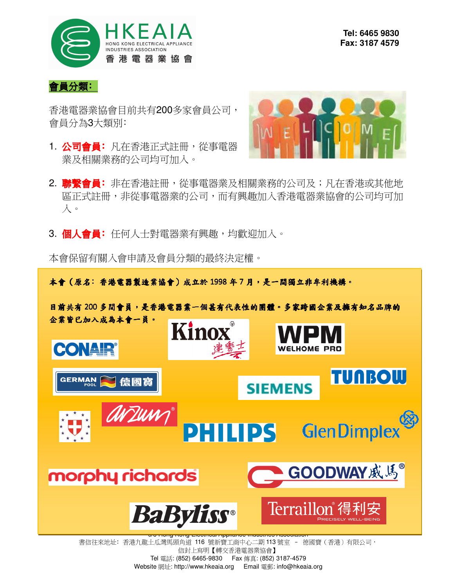

#### 會員分類﹕

香港電器業協會目前共有200多家會員公司, 會員分為3大類別﹕

1. 公司會員: 凡在香港正式註冊,從事電器 業及相關業務的公司均可加入。



- 2. 聯繫會員: 非在香港註冊,從事電器業及相關業務的公司及;凡在香港或其他地 區正式註冊,非從事電器業的公司,而有興趣加入香港電器業協會的公司均可加 入。
- 3. 個人會員: 任何人士對電器業有興趣,均歡迎加入。

本會保留有關入會申請及會員分類的最終決定權。

本會 (原名:香港電器製造業協會) 成立於 1998 年 7 月,是一間獨立非牟利機構。

目前共有 200 多間會員,是香港電器業一個甚有代表性的團體。多家跨國企業及擁有知名品牌的 企業皆已加入成為本會一員。



書信往來地址: 香港九龍土瓜灣馬頭角道 116 號新寶工商中心二期 113 號室 - 德國寶 (香港)有限公司, 信封上寫明【轉交香港電器業協會】 Tel 電話: (852) 6465-9830 Fax 傳真: (852) 3187-4579 Website 網址: http://www.hkeaia.org Email 電郵: info@hkeaia.org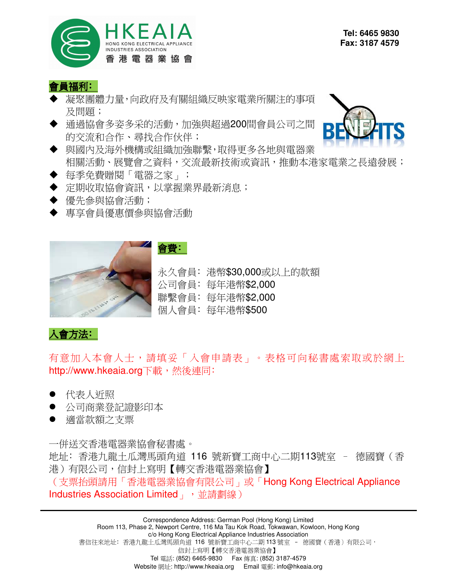

#### 會員福利:

- 凝聚團體力量,向政府及有關組織反映家電業所關注的事項 及問題;
- 通過協會多姿多采的活動,加強與超過200間會員公司之間 的交流和合作、尋找合作伙伴;
- ◆ 與國內及海外機構或組織加強聯繫,取得更多各地與電器業 相關活動、展覽會之資料,交流最新技術或資訊,推動本港家電業之長遠發展;
- ◆ 每季免費贈閱「電器之家」;
- ◆ 定期收取協會資訊,以掌握業界最新消息;
- ◆ 優先參與協會活動;
- 專享會員優惠價參與協會活動



會費:

永久會員: 港幣\$30,000或以上的款額 公司會員﹕每年港幣\$2,000 聯繫會員﹕每年港幣\$2,000 個人會員: 每年港幣\$500

## 人會方法:

有意加入本會人士,請填妥「入會申請表」。表格可向秘書處索取或於網上 http://www.hkeaia.org下載,然後連同:

- 代表人近照
- 公司商業登記證影印本
- 適當款額之支票

一併送交香港電器業協會秘書處。 地址﹕香港九龍土瓜灣馬頭角道 116 號新寶工商中心二期113號室 – 德國寶(香 港)有限公司,信封上寫明【轉交香港電器業協會】 (支票抬頭請用「香港電器業協會有限公司」或「Hong Kong Electrical Appliance Industries Association Limited | , 並請劃線)

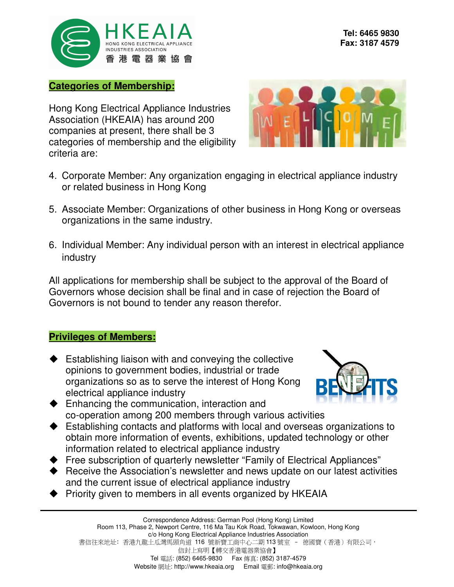

#### **Categories of Membership:**

Hong Kong Electrical Appliance Industries Association (HKEAIA) has around 200 companies at present, there shall be 3 categories of membership and the eligibility criteria are:



- 4. Corporate Member: Any organization engaging in electrical appliance industry or related business in Hong Kong
- 5. Associate Member: Organizations of other business in Hong Kong or overseas organizations in the same industry.
- 6. Individual Member: Any individual person with an interest in electrical appliance industry

All applications for membership shall be subject to the approval of the Board of Governors whose decision shall be final and in case of rejection the Board of Governors is not bound to tender any reason therefor.

### **Privileges of Members:**

◆ Establishing liaison with and conveying the collective opinions to government bodies, industrial or trade organizations so as to serve the interest of Hong Kong electrical appliance industry



- ◆ Enhancing the communication, interaction and co-operation among 200 members through various activities
- Establishing contacts and platforms with local and overseas organizations to obtain more information of events, exhibitions, updated technology or other information related to electrical appliance industry
- Free subscription of quarterly newsletter "Family of Electrical Appliances"
- ◆ Receive the Association's newsletter and news update on our latest activities and the current issue of electrical appliance industry
- ◆ Priority given to members in all events organized by HKEAIA